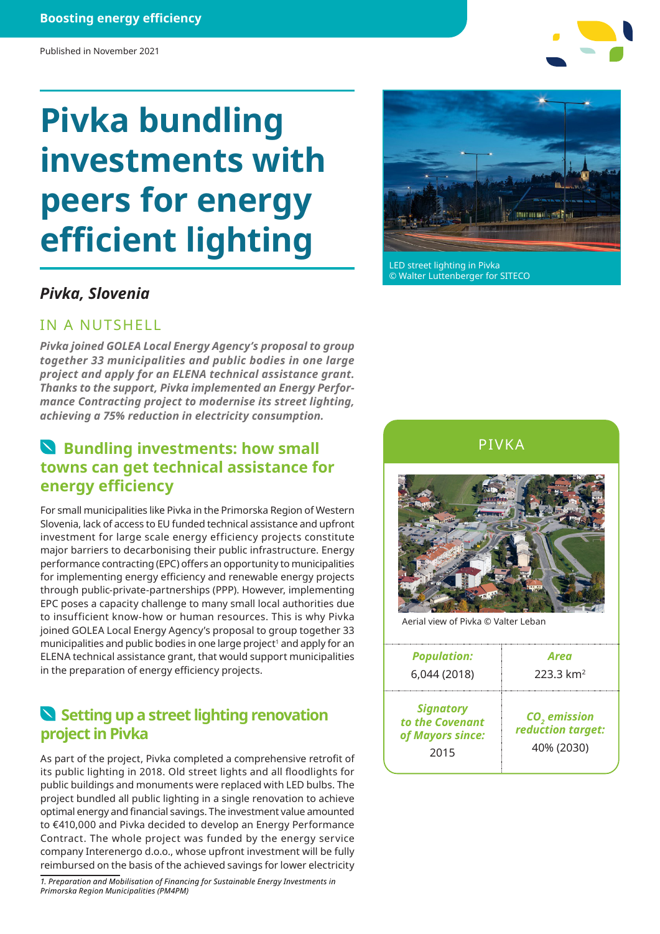#### **Boosting energy efficiency**

# **Pivka bundling investments with peers for energy efficient lighting**

## *Pivka, Slovenia*

#### IN A NUTSHELL

*Pivka joined GOLEA Local Energy Agency's proposal to group together 33 municipalities and public bodies in one large project and apply for an ELENA technical assistance grant. Thanks to the support, Pivka implemented an Energy Performance Contracting project to modernise its street lighting, achieving a 75% reduction in electricity consumption.*

## **Bundling investments: how small towns can get technical assistance for energy efficiency**

For small municipalities like Pivka in the Primorska Region of Western Slovenia, lack of access to EU funded technical assistance and upfront investment for large scale energy efficiency projects constitute major barriers to decarbonising their public infrastructure. Energy performance contracting (EPC) offers an opportunity to municipalities for implementing energy efficiency and renewable energy projects through public-private-partnerships (PPP). However, implementing EPC poses a capacity challenge to many small local authorities due to insufficient know-how or human resources. This is why Pivka joined GOLEA Local Energy Agency's proposal to group together 33 municipalities and public bodies in one large project<sup>1</sup> and apply for an ELENA technical assistance grant, that would support municipalities in the preparation of energy efficiency projects.

### **Setting up a street lighting renovation project in Pivka**

As part of the project, Pivka completed a comprehensive retrofit of its public lighting in 2018. Old street lights and all floodlights for public buildings and monuments were replaced with LED bulbs. The project bundled all public lighting in a single renovation to achieve optimal energy and financial savings. The investment value amounted to €410,000 and Pivka decided to develop an Energy Performance Contract. The whole project was funded by the energy service company Interenergo d.o.o., whose upfront investment will be fully reimbursed on the basis of the achieved savings for lower electricity

*1. Preparation and Mobilisation of Financing for Sustainable Energy Investments in Primorska Region Municipalities (PM4PM)*



LED street lighting in Pivka © Walter Luttenberger for SITECO





Aerial view of Pivka © Valter Leban

| <b>Population:</b>                                              | Area                                                        |
|-----------------------------------------------------------------|-------------------------------------------------------------|
| 6,044 (2018)                                                    | $223.3 \text{ km}^2$                                        |
| <b>Signatory</b><br>to the Covenant<br>of Mayors since:<br>2015 | CO <sub>2</sub> emission<br>reduction target:<br>40% (2030) |